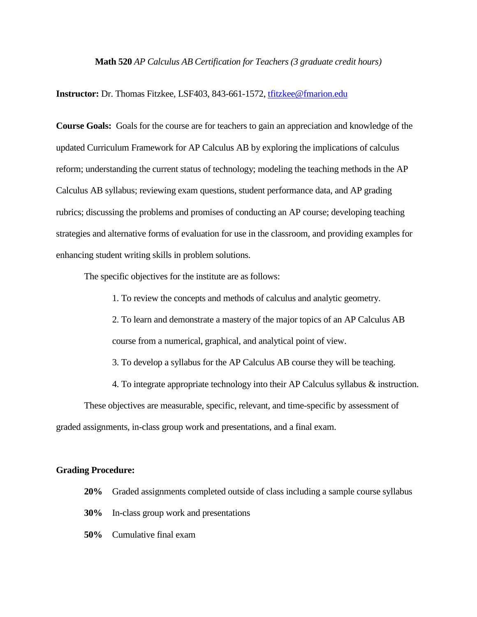## **Math 520** *AP Calculus AB Certification for Teachers (3 graduate credit hours)*

**Instructor:** Dr. Thomas Fitzkee, LSF403, 843-661-1572, [tfitzkee@fmarion.edu](mailto:tfitzkee@fmarion.edu)

**Course Goals:** Goals for the course are for teachers to gain an appreciation and knowledge of the updated Curriculum Framework for AP Calculus AB by exploring the implications of calculus reform; understanding the current status of technology; modeling the teaching methods in the AP Calculus AB syllabus; reviewing exam questions, student performance data, and AP grading rubrics; discussing the problems and promises of conducting an AP course; developing teaching strategies and alternative forms of evaluation for use in the classroom, and providing examples for enhancing student writing skills in problem solutions.

The specific objectives for the institute are as follows:

1. To review the concepts and methods of calculus and analytic geometry.

2. To learn and demonstrate a mastery of the major topics of an AP Calculus AB course from a numerical, graphical, and analytical point of view.

3. To develop a syllabus for the AP Calculus AB course they will be teaching.

4. To integrate appropriate technology into their AP Calculus syllabus & instruction.

These objectives are measurable, specific, relevant, and time-specific by assessment of graded assignments, in-class group work and presentations, and a final exam.

## **Grading Procedure:**

- **20%** Graded assignments completed outside of class including a sample course syllabus
- **30%** In-class group work and presentations
- **50%** Cumulative final exam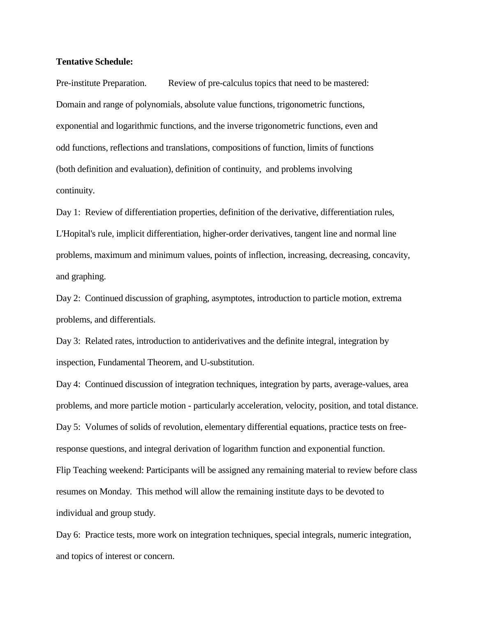## **Tentative Schedule:**

Pre-institute Preparation. Review of pre-calculus topics that need to be mastered: Domain and range of polynomials, absolute value functions, trigonometric functions, exponential and logarithmic functions, and the inverse trigonometric functions, even and odd functions, reflections and translations, compositions of function, limits of functions (both definition and evaluation), definition of continuity, and problems involving continuity.

Day 1: Review of differentiation properties, definition of the derivative, differentiation rules, L'Hopital's rule, implicit differentiation, higher-order derivatives, tangent line and normal line problems, maximum and minimum values, points of inflection, increasing, decreasing, concavity, and graphing.

Day 2: Continued discussion of graphing, asymptotes, introduction to particle motion, extrema problems, and differentials.

Day 3: Related rates, introduction to antiderivatives and the definite integral, integration by inspection, Fundamental Theorem, and U-substitution.

Day 4: Continued discussion of integration techniques, integration by parts, average-values, area problems, and more particle motion - particularly acceleration, velocity, position, and total distance. Day 5: Volumes of solids of revolution, elementary differential equations, practice tests on freeresponse questions, and integral derivation of logarithm function and exponential function. Flip Teaching weekend: Participants will be assigned any remaining material to review before class resumes on Monday. This method will allow the remaining institute days to be devoted to individual and group study.

Day 6: Practice tests, more work on integration techniques, special integrals, numeric integration, and topics of interest or concern.